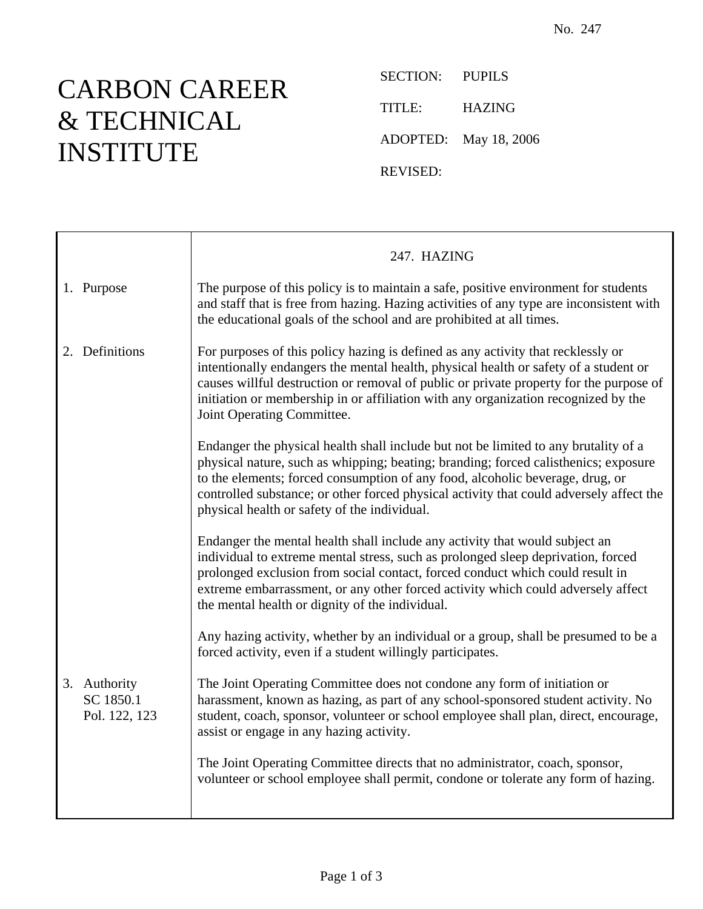## CARBON CAREER & TECHNICAL INSTITUTE

SECTION: PUPILS TITLE: HAZING ADOPTED: May 18, 2006 REVISED:

| The purpose of this policy is to maintain a safe, positive environment for students<br>and staff that is free from hazing. Hazing activities of any type are inconsistent with<br>the educational goals of the school and are prohibited at all times.                                                                                                                                                 |
|--------------------------------------------------------------------------------------------------------------------------------------------------------------------------------------------------------------------------------------------------------------------------------------------------------------------------------------------------------------------------------------------------------|
| For purposes of this policy hazing is defined as any activity that recklessly or<br>intentionally endangers the mental health, physical health or safety of a student or<br>causes willful destruction or removal of public or private property for the purpose of<br>initiation or membership in or affiliation with any organization recognized by the<br>Joint Operating Committee.                 |
| Endanger the physical health shall include but not be limited to any brutality of a<br>physical nature, such as whipping; beating; branding; forced calisthenics; exposure<br>to the elements; forced consumption of any food, alcoholic beverage, drug, or<br>controlled substance; or other forced physical activity that could adversely affect the<br>physical health or safety of the individual. |
| Endanger the mental health shall include any activity that would subject an<br>individual to extreme mental stress, such as prolonged sleep deprivation, forced<br>prolonged exclusion from social contact, forced conduct which could result in<br>extreme embarrassment, or any other forced activity which could adversely affect<br>the mental health or dignity of the individual.                |
| Any hazing activity, whether by an individual or a group, shall be presumed to be a<br>forced activity, even if a student willingly participates.                                                                                                                                                                                                                                                      |
| The Joint Operating Committee does not condone any form of initiation or<br>harassment, known as hazing, as part of any school-sponsored student activity. No<br>student, coach, sponsor, volunteer or school employee shall plan, direct, encourage,<br>assist or engage in any hazing activity.                                                                                                      |
| The Joint Operating Committee directs that no administrator, coach, sponsor,<br>volunteer or school employee shall permit, condone or tolerate any form of hazing.                                                                                                                                                                                                                                     |
|                                                                                                                                                                                                                                                                                                                                                                                                        |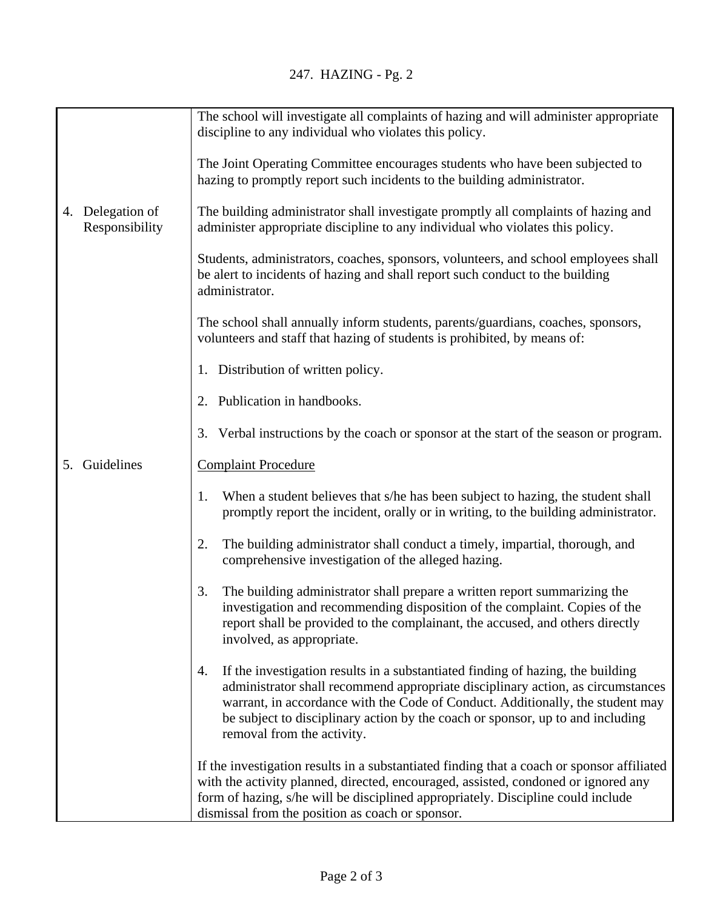|                                       | The school will investigate all complaints of hazing and will administer appropriate<br>discipline to any individual who violates this policy.                                                                                                                                                                                                                             |
|---------------------------------------|----------------------------------------------------------------------------------------------------------------------------------------------------------------------------------------------------------------------------------------------------------------------------------------------------------------------------------------------------------------------------|
|                                       | The Joint Operating Committee encourages students who have been subjected to<br>hazing to promptly report such incidents to the building administrator.                                                                                                                                                                                                                    |
| Delegation of<br>4.<br>Responsibility | The building administrator shall investigate promptly all complaints of hazing and<br>administer appropriate discipline to any individual who violates this policy.                                                                                                                                                                                                        |
|                                       | Students, administrators, coaches, sponsors, volunteers, and school employees shall<br>be alert to incidents of hazing and shall report such conduct to the building<br>administrator.                                                                                                                                                                                     |
|                                       | The school shall annually inform students, parents/guardians, coaches, sponsors,<br>volunteers and staff that hazing of students is prohibited, by means of:                                                                                                                                                                                                               |
|                                       | 1. Distribution of written policy.                                                                                                                                                                                                                                                                                                                                         |
|                                       | 2. Publication in handbooks.                                                                                                                                                                                                                                                                                                                                               |
|                                       | Verbal instructions by the coach or sponsor at the start of the season or program.<br>3.                                                                                                                                                                                                                                                                                   |
| Guidelines<br>5.                      | <b>Complaint Procedure</b>                                                                                                                                                                                                                                                                                                                                                 |
|                                       | When a student believes that s/he has been subject to hazing, the student shall<br>1.<br>promptly report the incident, orally or in writing, to the building administrator.                                                                                                                                                                                                |
|                                       | The building administrator shall conduct a timely, impartial, thorough, and<br>2.<br>comprehensive investigation of the alleged hazing.                                                                                                                                                                                                                                    |
|                                       | The building administrator shall prepare a written report summarizing the<br>3.<br>investigation and recommending disposition of the complaint. Copies of the<br>report shall be provided to the complainant, the accused, and others directly<br>involved, as appropriate.                                                                                                |
|                                       | If the investigation results in a substantiated finding of hazing, the building<br>4.<br>administrator shall recommend appropriate disciplinary action, as circumstances<br>warrant, in accordance with the Code of Conduct. Additionally, the student may<br>be subject to disciplinary action by the coach or sponsor, up to and including<br>removal from the activity. |
|                                       | If the investigation results in a substantiated finding that a coach or sponsor affiliated<br>with the activity planned, directed, encouraged, assisted, condoned or ignored any<br>form of hazing, s/he will be disciplined appropriately. Discipline could include<br>dismissal from the position as coach or sponsor.                                                   |